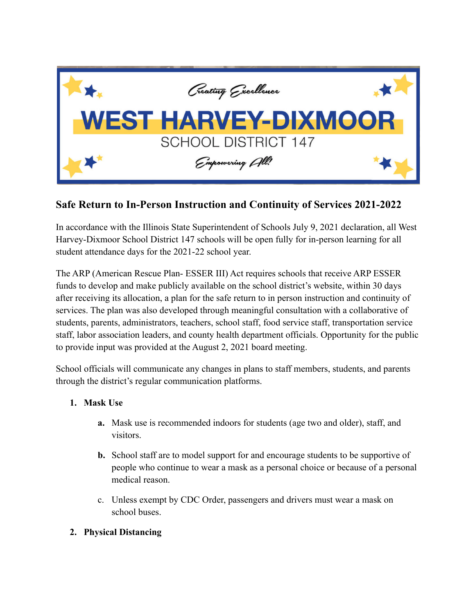

# **Safe Return to In-Person Instruction and Continuity of Services 2021-2022**

In accordance with the Illinois State Superintendent of Schools July 9, 2021 declaration, all West Harvey-Dixmoor School District 147 schools will be open fully for in-person learning for all student attendance days for the 2021-22 school year.

The ARP (American Rescue Plan- ESSER III) Act requires schools that receive ARP ESSER funds to develop and make publicly available on the school district's website, within 30 days after receiving its allocation, a plan for the safe return to in person instruction and continuity of services. The plan was also developed through meaningful consultation with a collaborative of students, parents, administrators, teachers, school staff, food service staff, transportation service staff, labor association leaders, and county health department officials. Opportunity for the public to provide input was provided at the August 2, 2021 board meeting.

School officials will communicate any changes in plans to staff members, students, and parents through the district's regular communication platforms.

## **1. Mask Use**

- **a.** Mask use is recommended indoors for students (age two and older), staff, and visitors.
- **b.** School staff are to model support for and encourage students to be supportive of people who continue to wear a mask as a personal choice or because of a personal medical reason.
- c. Unless exempt by CDC Order, passengers and drivers must wear a mask on school buses.

## **2. Physical Distancing**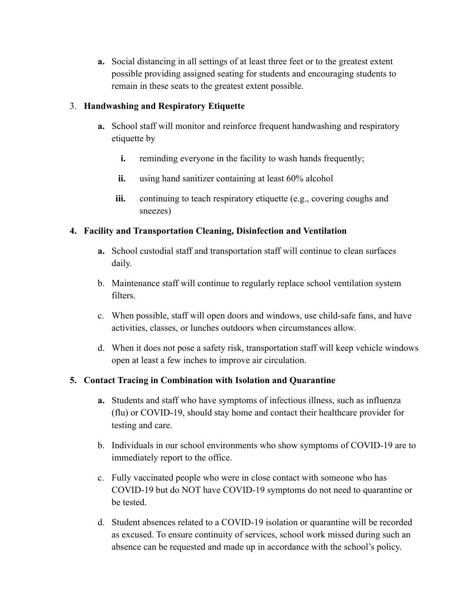**a.** Social distancing in all settings of at least three feet or to the greatest extent possible providing assigned seating for students and encouraging students to remain in these seats to the greatest extent possible.

### 3. **Handwashing and Respiratory Etiquette**

- **a.** School staff will monitor and reinforce frequent handwashing and respiratory etiquette by
	- **i.** reminding everyone in the facility to wash hands frequently;
	- **ii.** using hand sanitizer containing at least 60% alcohol
	- **iii.** continuing to teach respiratory etiquette (e.g., covering coughs and sneezes)

## **4. Facility and Transportation Cleaning, Disinfection and Ventilation**

- **a.** School custodial staff and transportation staff will continue to clean surfaces daily.
- b. Maintenance staff will continue to regularly replace school ventilation system filters.
- c. When possible, staff will open doors and windows, use child-safe fans, and have activities, classes, or lunches outdoors when circumstances allow.
- d. When it does not pose a safety risk, transportation staff will keep vehicle windows open at least a few inches to improve air circulation.

## **5. Contact Tracing in Combination with Isolation and Quarantine**

- **a.** Students and staff who have symptoms of infectious illness, such as influenza (flu) or COVID-19, should stay home and contact their healthcare provider for testing and care.
- b. Individuals in our school environments who show symptoms of COVID-19 are to immediately report to the office.
- c. Fully vaccinated people who were in close contact with someone who has COVID-19 but do NOT have COVID-19 symptoms do not need to quarantine or be tested.
- d. Student absences related to a COVID-19 isolation or quarantine will be recorded as excused. To ensure continuity of services, school work missed during such an absence can be requested and made up in accordance with the school's policy.